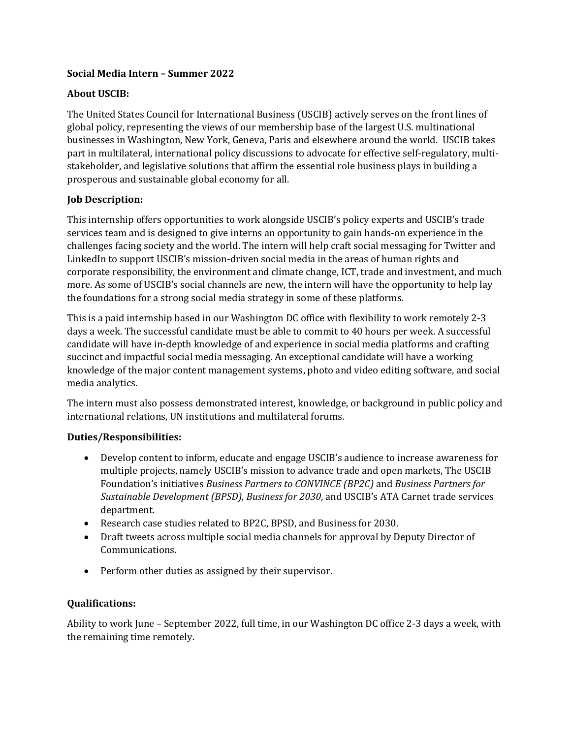# **Social Media Intern – Summer 2022**

# **About USCIB:**

The United States Council for International Business (USCIB) actively serves on the front lines of global policy, representing the views of our membership base of the largest U.S. multinational businesses in Washington, New York, Geneva, Paris and elsewhere around the world. USCIB takes part in multilateral, international policy discussions to advocate for effective self-regulatory, multistakeholder, and legislative solutions that affirm the essential role business plays in building a prosperous and sustainable global economy for all.

# **Job Description:**

This internship offers opportunities to work alongside USCIB's policy experts and USCIB's trade services team and is designed to give interns an opportunity to gain hands-on experience in the challenges facing society and the world. The intern will help craft social messaging for Twitter and LinkedIn to support USCIB's mission-driven social media in the areas of human rights and corporate responsibility, the environment and climate change, ICT, trade and investment, and much more. As some of USCIB's social channels are new, the intern will have the opportunity to help lay the foundations for a strong social media strategy in some of these platforms.

This is a paid internship based in our Washington DC office with flexibility to work remotely 2-3 days a week. The successful candidate must be able to commit to 40 hours per week. A successful candidate will have in-depth knowledge of and experience in social media platforms and crafting succinct and impactful social media messaging. An exceptional candidate will have a working knowledge of the major content management systems, photo and video editing software, and social media analytics.

The intern must also possess demonstrated interest, knowledge, or background in public policy and international relations, UN institutions and multilateral forums.

#### **Duties/Responsibilities:**

- Develop content to inform, educate and engage USCIB's audience to increase awareness for multiple projects, namely USCIB's mission to advance trade and open markets, The USCIB Foundation's initiatives *Business Partners to CONVINCE (BP2C)* and *Business Partners for Sustainable Development (BPSD), Business for 2030*, and USCIB's ATA Carnet trade services department.
- Research case studies related to BP2C, BPSD, and Business for 2030.
- Draft tweets across multiple social media channels for approval by Deputy Director of Communications.
- Perform other duties as assigned by their supervisor.

#### **Qualifications:**

Ability to work June – September 2022, full time, in our Washington DC office 2-3 days a week, with the remaining time remotely.